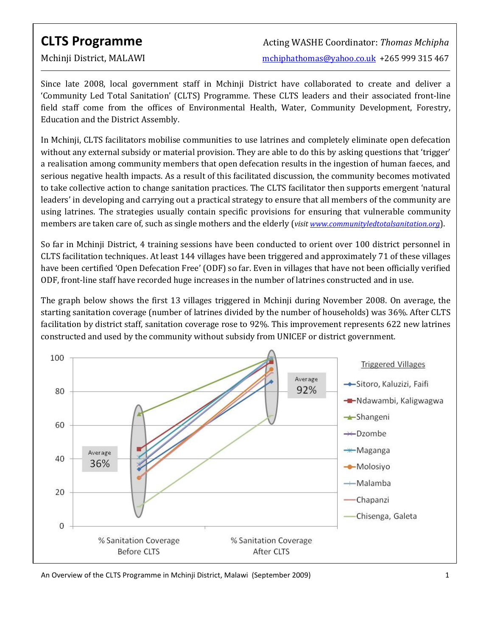$\overline{a}$ 

Since late 2008, local government staff in Mchinji District have collaborated to create and deliver a 'Community Led Total Sanitation' (CLTS) Programme. These CLTS leaders and their associated front-line field staff come from the offices of Environmental Health, Water, Community Development, Forestry, Education and the District Assembly.

In Mchinji, CLTS facilitators mobilise communities to use latrines and completely eliminate open defecation without any external subsidy or material provision. They are able to do this by asking questions that 'trigger' a realisation among community members that open defecation results in the ingestion of human faeces, and serious negative health impacts. As a result of this facilitated discussion, the community becomes motivated to take collective action to change sanitation practices. The CLTS facilitator then supports emergent 'natural leaders' in developing and carrying out a practical strategy to ensure that all members of the community are using latrines. The strategies usually contain specific provisions for ensuring that vulnerable community members are taken care of, such as single mothers and the elderly (visit www.communityledtotalsanitation.org).

So far in Mchinji District, 4 training sessions have been conducted to orient over 100 district personnel in CLTS facilitation techniques. At least 144 villages have been triggered and approximately 71 of these villages have been certified 'Open Defecation Free' (ODF) so far. Even in villages that have not been officially verified ODF, front-line staff have recorded huge increases in the number of latrines constructed and in use.

The graph below shows the first 13 villages triggered in Mchinji during November 2008. On average, the starting sanitation coverage (number of latrines divided by the number of households) was 36%. After CLTS facilitation by district staff, sanitation coverage rose to 92%. This improvement represents 622 new latrines constructed and used by the community without subsidy from UNICEF or district government.



An Overview of the CLTS Programme in Mchinji District, Malawi (September 2009) 1